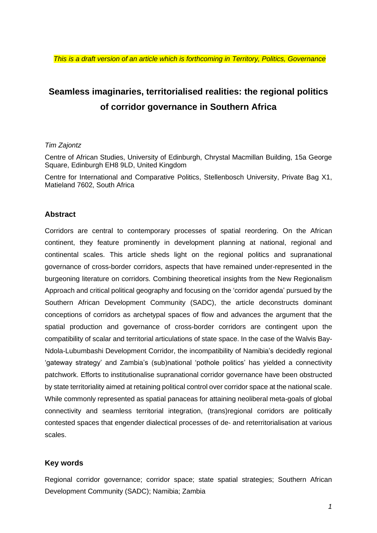# **Seamless imaginaries, territorialised realities: the regional politics of corridor governance in Southern Africa**

#### *Tim Zajontz*

Centre of African Studies, University of Edinburgh, Chrystal Macmillan Building, 15a George Square, Edinburgh EH8 9LD, United Kingdom

Centre for International and Comparative Politics, Stellenbosch University, Private Bag X1, Matieland 7602, South Africa

#### **Abstract**

Corridors are central to contemporary processes of spatial reordering. On the African continent, they feature prominently in development planning at national, regional and continental scales. This article sheds light on the regional politics and supranational governance of cross-border corridors, aspects that have remained under-represented in the burgeoning literature on corridors. Combining theoretical insights from the New Regionalism Approach and critical political geography and focusing on the 'corridor agenda' pursued by the Southern African Development Community (SADC), the article deconstructs dominant conceptions of corridors as archetypal spaces of flow and advances the argument that the spatial production and governance of cross-border corridors are contingent upon the compatibility of scalar and territorial articulations of state space. In the case of the Walvis Bay-Ndola-Lubumbashi Development Corridor, the incompatibility of Namibia's decidedly regional 'gateway strategy' and Zambia's (sub)national 'pothole politics' has yielded a connectivity patchwork. Efforts to institutionalise supranational corridor governance have been obstructed by state territoriality aimed at retaining political control over corridor space at the national scale. While commonly represented as spatial panaceas for attaining neoliberal meta-goals of global connectivity and seamless territorial integration, (trans)regional corridors are politically contested spaces that engender dialectical processes of de- and reterritorialisation at various scales.

## **Key words**

Regional corridor governance; corridor space; state spatial strategies; Southern African Development Community (SADC); Namibia; Zambia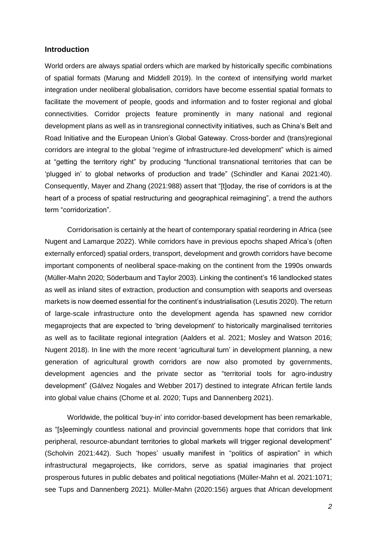#### **Introduction**

World orders are always spatial orders which are marked by historically specific combinations of spatial formats (Marung and Middell 2019). In the context of intensifying world market integration under neoliberal globalisation, corridors have become essential spatial formats to facilitate the movement of people, goods and information and to foster regional and global connectivities. Corridor projects feature prominently in many national and regional development plans as well as in transregional connectivity initiatives, such as China's Belt and Road Initiative and the European Union's Global Gateway. Cross-border and (trans)regional corridors are integral to the global "regime of infrastructure-led development" which is aimed at "getting the territory right" by producing "functional transnational territories that can be 'plugged in' to global networks of production and trade" (Schindler and Kanai 2021:40). Consequently, Mayer and Zhang (2021:988) assert that "[t]oday, the rise of corridors is at the heart of a process of spatial restructuring and geographical reimagining", a trend the authors term "corridorization".

Corridorisation is certainly at the heart of contemporary spatial reordering in Africa (see Nugent and Lamarque 2022). While corridors have in previous epochs shaped Africa's (often externally enforced) spatial orders, transport, development and growth corridors have become important components of neoliberal space-making on the continent from the 1990s onwards (Müller-Mahn 2020; Söderbaum and Taylor 2003). Linking the continent's 16 landlocked states as well as inland sites of extraction, production and consumption with seaports and overseas markets is now deemed essential for the continent's industrialisation (Lesutis 2020). The return of large-scale infrastructure onto the development agenda has spawned new corridor megaprojects that are expected to 'bring development' to historically marginalised territories as well as to facilitate regional integration (Aalders et al. 2021; Mosley and Watson 2016; Nugent 2018). In line with the more recent 'agricultural turn' in development planning, a new generation of agricultural growth corridors are now also promoted by governments, development agencies and the private sector as "territorial tools for agro-industry development" (Gálvez Nogales and Webber 2017) destined to integrate African fertile lands into global value chains (Chome et al. 2020; Tups and Dannenberg 2021).

Worldwide, the political 'buy-in' into corridor-based development has been remarkable, as "[s]eemingly countless national and provincial governments hope that corridors that link peripheral, resource-abundant territories to global markets will trigger regional development" (Scholvin 2021:442). Such 'hopes' usually manifest in "politics of aspiration" in which infrastructural megaprojects, like corridors, serve as spatial imaginaries that project prosperous futures in public debates and political negotiations (Müller-Mahn et al. 2021:1071; see Tups and Dannenberg 2021). Müller-Mahn (2020:156) argues that African development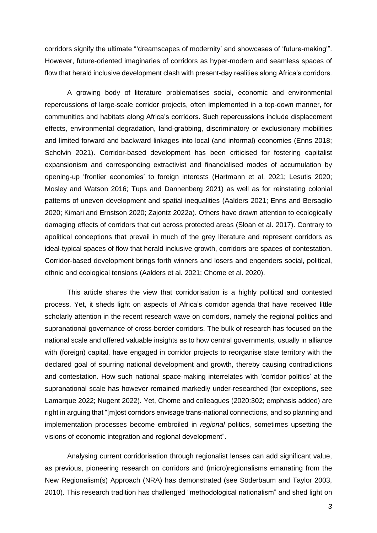corridors signify the ultimate "'dreamscapes of modernity' and showcases of 'future-making'". However, future-oriented imaginaries of corridors as hyper-modern and seamless spaces of flow that herald inclusive development clash with present-day realities along Africa's corridors.

A growing body of literature problematises social, economic and environmental repercussions of large-scale corridor projects, often implemented in a top-down manner, for communities and habitats along Africa's corridors. Such repercussions include displacement effects, environmental degradation, land-grabbing, discriminatory or exclusionary mobilities and limited forward and backward linkages into local (and informal) economies (Enns 2018; Scholvin 2021). Corridor-based development has been criticised for fostering capitalist expansionism and corresponding extractivist and financialised modes of accumulation by opening-up 'frontier economies' to foreign interests (Hartmann et al. 2021; Lesutis 2020; Mosley and Watson 2016; Tups and Dannenberg 2021) as well as for reinstating colonial patterns of uneven development and spatial inequalities (Aalders 2021; Enns and Bersaglio 2020; Kimari and Ernstson 2020; Zajontz 2022a). Others have drawn attention to ecologically damaging effects of corridors that cut across protected areas (Sloan et al. 2017). Contrary to apolitical conceptions that prevail in much of the grey literature and represent corridors as ideal-typical spaces of flow that herald inclusive growth, corridors are spaces of contestation. Corridor-based development brings forth winners and losers and engenders social, political, ethnic and ecological tensions (Aalders et al. 2021; Chome et al. 2020).

This article shares the view that corridorisation is a highly political and contested process. Yet, it sheds light on aspects of Africa's corridor agenda that have received little scholarly attention in the recent research wave on corridors, namely the regional politics and supranational governance of cross-border corridors. The bulk of research has focused on the national scale and offered valuable insights as to how central governments, usually in alliance with (foreign) capital, have engaged in corridor projects to reorganise state territory with the declared goal of spurring national development and growth, thereby causing contradictions and contestation. How such national space-making interrelates with 'corridor politics' at the supranational scale has however remained markedly under-researched (for exceptions, see Lamarque 2022; Nugent 2022). Yet, Chome and colleagues (2020:302; emphasis added) are right in arguing that "[m]ost corridors envisage trans-national connections, and so planning and implementation processes become embroiled in *regional* politics, sometimes upsetting the visions of economic integration and regional development".

Analysing current corridorisation through regionalist lenses can add significant value, as previous, pioneering research on corridors and (micro)regionalisms emanating from the New Regionalism(s) Approach (NRA) has demonstrated (see Söderbaum and Taylor 2003, 2010). This research tradition has challenged "methodological nationalism" and shed light on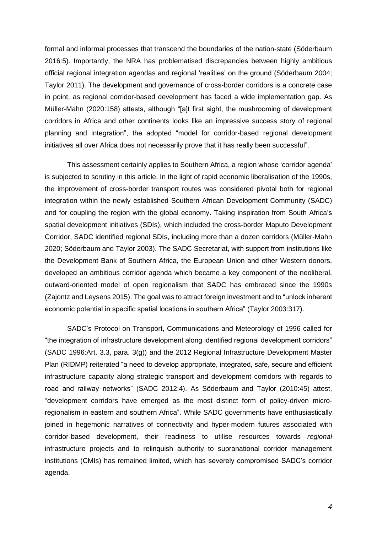formal and informal processes that transcend the boundaries of the nation-state (Söderbaum 2016:5). Importantly, the NRA has problematised discrepancies between highly ambitious official regional integration agendas and regional 'realities' on the ground (Söderbaum 2004; Taylor 2011). The development and governance of cross-border corridors is a concrete case in point, as regional corridor-based development has faced a wide implementation gap. As Müller-Mahn (2020:158) attests, although "[a]t first sight, the mushrooming of development corridors in Africa and other continents looks like an impressive success story of regional planning and integration", the adopted "model for corridor-based regional development initiatives all over Africa does not necessarily prove that it has really been successful".

This assessment certainly applies to Southern Africa, a region whose 'corridor agenda' is subjected to scrutiny in this article. In the light of rapid economic liberalisation of the 1990s, the improvement of cross-border transport routes was considered pivotal both for regional integration within the newly established Southern African Development Community (SADC) and for coupling the region with the global economy. Taking inspiration from South Africa's spatial development initiatives (SDIs), which included the cross-border Maputo Development Corridor, SADC identified regional SDIs, including more than a dozen corridors (Müller-Mahn 2020; Söderbaum and Taylor 2003). The SADC Secretariat, with support from institutions like the Development Bank of Southern Africa, the European Union and other Western donors, developed an ambitious corridor agenda which became a key component of the neoliberal, outward-oriented model of open regionalism that SADC has embraced since the 1990s (Zajontz and Leysens 2015). The goal was to attract foreign investment and to "unlock inherent economic potential in specific spatial locations in southern Africa" (Taylor 2003:317).

SADC's Protocol on Transport, Communications and Meteorology of 1996 called for "the integration of infrastructure development along identified regional development corridors" (SADC 1996:Art. 3.3, para. 3(g)) and the 2012 Regional Infrastructure Development Master Plan (RIDMP) reiterated "a need to develop appropriate, integrated, safe, secure and efficient infrastructure capacity along strategic transport and development corridors with regards to road and railway networks" (SADC 2012:4). As Söderbaum and Taylor (2010:45) attest, "development corridors have emerged as the most distinct form of policy-driven microregionalism in eastern and southern Africa". While SADC governments have enthusiastically joined in hegemonic narratives of connectivity and hyper-modern futures associated with corridor-based development, their readiness to utilise resources towards *regional* infrastructure projects and to relinquish authority to supranational corridor management institutions (CMIs) has remained limited, which has severely compromised SADC's corridor agenda.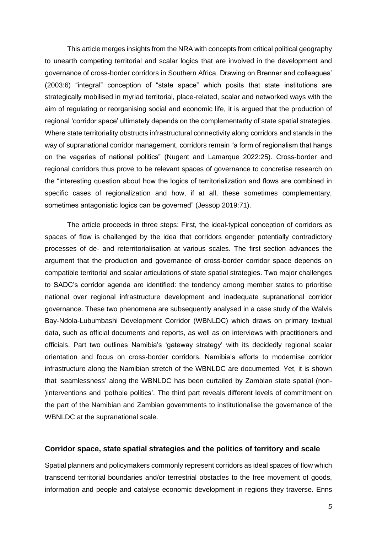This article merges insights from the NRA with concepts from critical political geography to unearth competing territorial and scalar logics that are involved in the development and governance of cross-border corridors in Southern Africa. Drawing on Brenner and colleagues' (2003:6) "integral" conception of "state space" which posits that state institutions are strategically mobilised in myriad territorial, place-related, scalar and networked ways with the aim of regulating or reorganising social and economic life, it is argued that the production of regional 'corridor space' ultimately depends on the complementarity of state spatial strategies. Where state territoriality obstructs infrastructural connectivity along corridors and stands in the way of supranational corridor management, corridors remain "a form of regionalism that hangs on the vagaries of national politics" (Nugent and Lamarque 2022:25). Cross-border and regional corridors thus prove to be relevant spaces of governance to concretise research on the "interesting question about how the logics of territorialization and flows are combined in specific cases of regionalization and how, if at all, these sometimes complementary, sometimes antagonistic logics can be governed" (Jessop 2019:71).

The article proceeds in three steps: First, the ideal-typical conception of corridors as spaces of flow is challenged by the idea that corridors engender potentially contradictory processes of de- and reterritorialisation at various scales. The first section advances the argument that the production and governance of cross-border corridor space depends on compatible territorial and scalar articulations of state spatial strategies. Two major challenges to SADC's corridor agenda are identified: the tendency among member states to prioritise national over regional infrastructure development and inadequate supranational corridor governance. These two phenomena are subsequently analysed in a case study of the Walvis Bay-Ndola-Lubumbashi Development Corridor (WBNLDC) which draws on primary textual data, such as official documents and reports, as well as on interviews with practitioners and officials. Part two outlines Namibia's 'gateway strategy' with its decidedly regional scalar orientation and focus on cross-border corridors. Namibia's efforts to modernise corridor infrastructure along the Namibian stretch of the WBNLDC are documented. Yet, it is shown that 'seamlessness' along the WBNLDC has been curtailed by Zambian state spatial (non- )interventions and 'pothole politics'. The third part reveals different levels of commitment on the part of the Namibian and Zambian governments to institutionalise the governance of the WBNLDC at the supranational scale.

#### **Corridor space, state spatial strategies and the politics of territory and scale**

Spatial planners and policymakers commonly represent corridors as ideal spaces of flow which transcend territorial boundaries and/or terrestrial obstacles to the free movement of goods, information and people and catalyse economic development in regions they traverse. Enns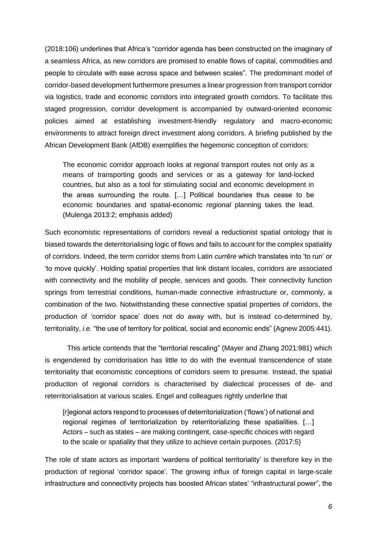(2018:106) underlines that Africa's "corridor agenda has been constructed on the imaginary of a seamless Africa, as new corridors are promised to enable flows of capital, commodities and people to circulate with ease across space and between scales". The predominant model of corridor-based development furthermore presumes a linear progression from transport corridor via logistics, trade and economic corridors into integrated growth corridors. To facilitate this staged progression, corridor development is accompanied by outward-oriented economic policies aimed at establishing investment-friendly regulatory and macro-economic environments to attract foreign direct investment along corridors. A briefing published by the African Development Bank (AfDB) exemplifies the hegemonic conception of corridors:

The economic corridor approach looks at regional transport routes not only as a means of transporting goods and services or as a gateway for land-locked countries, but also as a tool for stimulating social and economic development in the areas surrounding the route. […] Political boundaries thus cease to be economic boundaries and spatial-economic *regional* planning takes the lead. (Mulenga 2013:2; emphasis added)

Such economistic representations of corridors reveal a reductionist spatial ontology that is biased towards the deterritorialising logic of flows and fails to account for the complex spatiality of corridors. Indeed, the term corridor stems from Latin *currēre* which translates into 'to run' or 'to move quickly'. Holding spatial properties that link distant locales, corridors are associated with connectivity and the mobility of people, services and goods. Their connectivity function springs from terrestrial conditions, human-made connective infrastructure or, commonly, a combination of the two. Notwithstanding these connective spatial properties of corridors, the production of 'corridor space' does not do away with, but is instead co-determined by, territoriality, *i.e.* "the use of territory for political, social and economic ends" (Agnew 2005:441).

This article contends that the "territorial rescaling" (Mayer and Zhang 2021:981) which is engendered by corridorisation has little to do with the eventual transcendence of state territoriality that economistic conceptions of corridors seem to presume. Instead, the spatial production of regional corridors is characterised by dialectical processes of de- and reterritorialisation at various scales. Engel and colleagues rightly underline that

[r]egional actors respond to processes of deterritorialization ('flows') of national and regional regimes of territorialization by reterritorializing these spatialities. […] Actors – such as states – are making contingent, case-specific choices with regard to the scale or spatiality that they utilize to achieve certain purposes. (2017:5)

The role of state actors as important 'wardens of political territoriality' is therefore key in the production of regional 'corridor space'. The growing influx of foreign capital in large-scale infrastructure and connectivity projects has boosted African states' "infrastructural power", the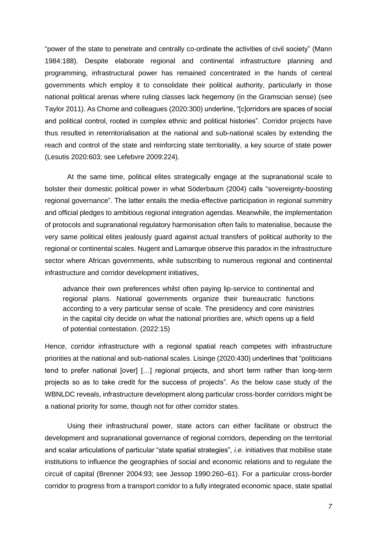"power of the state to penetrate and centrally co-ordinate the activities of civil society" (Mann 1984:188). Despite elaborate regional and continental infrastructure planning and programming, infrastructural power has remained concentrated in the hands of central governments which employ it to consolidate their political authority, particularly in those national political arenas where ruling classes lack hegemony (in the Gramscian sense) (see Taylor 2011). As Chome and colleagues (2020:300) underline, "[c]orridors are spaces of social and political control, rooted in complex ethnic and political histories". Corridor projects have thus resulted in reterritorialisation at the national and sub-national scales by extending the reach and control of the state and reinforcing state territoriality, a key source of state power (Lesutis 2020:603; see Lefebvre 2009:224).

At the same time, political elites strategically engage at the supranational scale to bolster their domestic political power in what Söderbaum (2004) calls "sovereignty-boosting regional governance". The latter entails the media-effective participation in regional summitry and official pledges to ambitious regional integration agendas. Meanwhile, the implementation of protocols and supranational regulatory harmonisation often fails to materialise, because the very same political elites jealously guard against actual transfers of political authority to the regional or continental scales. Nugent and Lamarque observe this paradox in the infrastructure sector where African governments, while subscribing to numerous regional and continental infrastructure and corridor development initiatives,

advance their own preferences whilst often paying lip-service to continental and regional plans. National governments organize their bureaucratic functions according to a very particular sense of scale. The presidency and core ministries in the capital city decide on what the national priorities are, which opens up a field of potential contestation. (2022:15)

Hence, corridor infrastructure with a regional spatial reach competes with infrastructure priorities at the national and sub-national scales. Lisinge (2020:430) underlines that "politicians tend to prefer national [over] […] regional projects, and short term rather than long-term projects so as to take credit for the success of projects". As the below case study of the WBNLDC reveals, infrastructure development along particular cross-border corridors might be a national priority for some, though not for other corridor states.

Using their infrastructural power, state actors can either facilitate or obstruct the development and supranational governance of regional corridors, depending on the territorial and scalar articulations of particular "state spatial strategies", *i.e.* initiatives that mobilise state institutions to influence the geographies of social and economic relations and to regulate the circuit of capital (Brenner 2004:93; see Jessop 1990:260–61). For a particular cross-border corridor to progress from a transport corridor to a fully integrated economic space, state spatial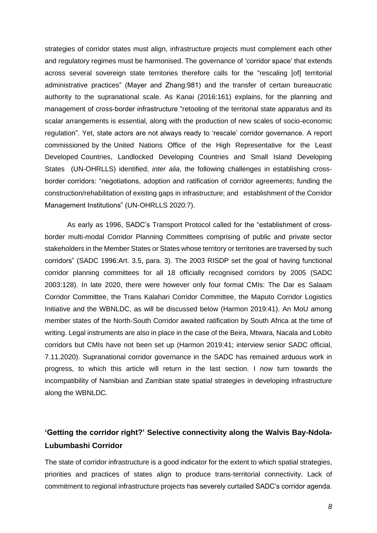strategies of corridor states must align, infrastructure projects must complement each other and regulatory regimes must be harmonised. The governance of 'corridor space' that extends across several sovereign state territories therefore calls for the "rescaling [of] territorial administrative practices" (Mayer and Zhang:981) and the transfer of certain bureaucratic authority to the supranational scale. As Kanai (2016:161) explains, for the planning and management of cross-border infrastructure "retooling of the territorial state apparatus and its scalar arrangements is essential, along with the production of new scales of socio-economic regulation". Yet, state actors are not always ready to 'rescale' corridor governance. A report commissioned by the United Nations Office of the High Representative for the Least Developed Countries, Landlocked Developing Countries and Small Island Developing States (UN-OHRLLS) identified, *inter alia*, the following challenges in establishing crossborder corridors: "negotiations, adoption and ratification of corridor agreements; funding the construction/rehabilitation of existing gaps in infrastructure; and establishment of the Corridor Management Institutions" (UN-OHRLLS 2020:7).

As early as 1996, SADC's Transport Protocol called for the "establishment of crossborder multi-modal Corridor Planning Committees comprising of public and private sector stakeholders in the Member States or States whose territory or territories are traversed by such corridors" (SADC 1996:Art. 3.5, para. 3). The 2003 RISDP set the goal of having functional corridor planning committees for all 18 officially recognised corridors by 2005 (SADC 2003:128). In late 2020, there were however only four formal CMIs: The Dar es Salaam Corridor Committee, the Trans Kalahari Corridor Committee, the Maputo Corridor Logistics Initiative and the WBNLDC, as will be discussed below (Harmon 2019:41). An MoU among member states of the North-South Corridor awaited ratification by South Africa at the time of writing. Legal instruments are also in place in the case of the Beira, Mtwara, Nacala and Lobito corridors but CMIs have not been set up (Harmon 2019:41; interview senior SADC official, 7.11.2020). Supranational corridor governance in the SADC has remained arduous work in progress, to which this article will return in the last section. I now turn towards the incompatibility of Namibian and Zambian state spatial strategies in developing infrastructure along the WBNLDC.

# **'Getting the corridor right?' Selective connectivity along the Walvis Bay-Ndola-Lubumbashi Corridor**

The state of corridor infrastructure is a good indicator for the extent to which spatial strategies, priorities and practices of states align to produce trans-territorial connectivity. Lack of commitment to regional infrastructure projects has severely curtailed SADC's corridor agenda.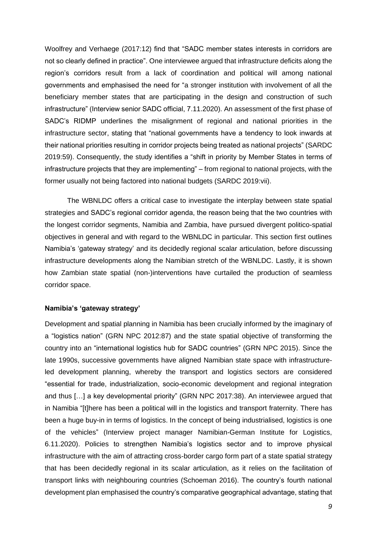Woolfrey and Verhaege (2017:12) find that "SADC member states interests in corridors are not so clearly defined in practice". One interviewee argued that infrastructure deficits along the region's corridors result from a lack of coordination and political will among national governments and emphasised the need for "a stronger institution with involvement of all the beneficiary member states that are participating in the design and construction of such infrastructure" (Interview senior SADC official, 7.11.2020). An assessment of the first phase of SADC's RIDMP underlines the misalignment of regional and national priorities in the infrastructure sector, stating that "national governments have a tendency to look inwards at their national priorities resulting in corridor projects being treated as national projects" (SARDC 2019:59). Consequently, the study identifies a "shift in priority by Member States in terms of infrastructure projects that they are implementing" – from regional to national projects, with the former usually not being factored into national budgets (SARDC 2019:vii).

The WBNLDC offers a critical case to investigate the interplay between state spatial strategies and SADC's regional corridor agenda, the reason being that the two countries with the longest corridor segments, Namibia and Zambia, have pursued divergent politico-spatial objectives in general and with regard to the WBNLDC in particular. This section first outlines Namibia's 'gateway strategy' and its decidedly regional scalar articulation, before discussing infrastructure developments along the Namibian stretch of the WBNLDC. Lastly, it is shown how Zambian state spatial (non-)interventions have curtailed the production of seamless corridor space.

#### **Namibia's 'gateway strategy'**

Development and spatial planning in Namibia has been crucially informed by the imaginary of a "logistics nation" (GRN NPC 2012:87) and the state spatial objective of transforming the country into an "international logistics hub for SADC countries" (GRN NPC 2015). Since the late 1990s, successive governments have aligned Namibian state space with infrastructureled development planning, whereby the transport and logistics sectors are considered "essential for trade, industrialization, socio-economic development and regional integration and thus […] a key developmental priority" (GRN NPC 2017:38). An interviewee argued that in Namibia "[t]here has been a political will in the logistics and transport fraternity. There has been a huge buy-in in terms of logistics. In the concept of being industrialised, logistics is one of the vehicles" (Interview project manager Namibian-German Institute for Logistics, 6.11.2020). Policies to strengthen Namibia's logistics sector and to improve physical infrastructure with the aim of attracting cross-border cargo form part of a state spatial strategy that has been decidedly regional in its scalar articulation, as it relies on the facilitation of transport links with neighbouring countries (Schoeman 2016). The country's fourth national development plan emphasised the country's comparative geographical advantage, stating that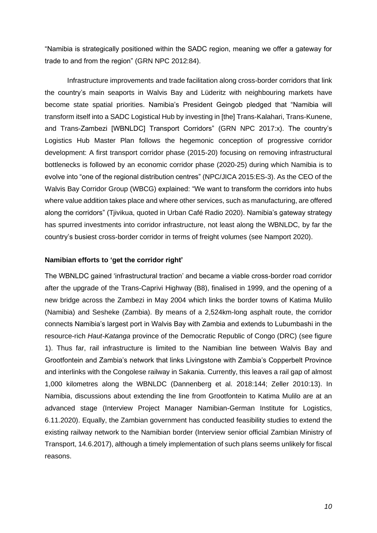"Namibia is strategically positioned within the SADC region, meaning we offer a gateway for trade to and from the region" (GRN NPC 2012:84).

Infrastructure improvements and trade facilitation along cross-border corridors that link the country's main seaports in Walvis Bay and Lüderitz with neighbouring markets have become state spatial priorities. Namibia's President Geingob pledged that "Namibia will transform itself into a SADC Logistical Hub by investing in [the] Trans-Kalahari, Trans-Kunene, and Trans-Zambezi [WBNLDC] Transport Corridors" (GRN NPC 2017:x). The country's Logistics Hub Master Plan follows the hegemonic conception of progressive corridor development: A first transport corridor phase (2015-20) focusing on removing infrastructural bottlenecks is followed by an economic corridor phase (2020-25) during which Namibia is to evolve into "one of the regional distribution centres" (NPC/JICA 2015:ES-3). As the CEO of the Walvis Bay Corridor Group (WBCG) explained: "We want to transform the corridors into hubs where value addition takes place and where other services, such as manufacturing, are offered along the corridors" (Tjivikua, quoted in Urban Café Radio 2020). Namibia's gateway strategy has spurred investments into corridor infrastructure, not least along the WBNLDC, by far the country's busiest cross-border corridor in terms of freight volumes (see Namport 2020).

#### **Namibian efforts to 'get the corridor right'**

The WBNLDC gained 'infrastructural traction' and became a viable cross-border road corridor after the upgrade of the Trans-Caprivi Highway (B8), finalised in 1999, and the opening of a new bridge across the Zambezi in May 2004 which links the border towns of Katima Mulilo (Namibia) and Sesheke (Zambia). By means of a 2,524km-long asphalt route, the corridor connects Namibia's largest port in Walvis Bay with Zambia and extends to Lubumbashi in the resource-rich *Haut-Katanga* province of the Democratic Republic of Congo (DRC) (see figure 1). Thus far, rail infrastructure is limited to the Namibian line between Walvis Bay and Grootfontein and Zambia's network that links Livingstone with Zambia's Copperbelt Province and interlinks with the Congolese railway in Sakania. Currently, this leaves a rail gap of almost 1,000 kilometres along the WBNLDC (Dannenberg et al. 2018:144; Zeller 2010:13). In Namibia, discussions about extending the line from Grootfontein to Katima Mulilo are at an advanced stage (Interview Project Manager Namibian-German Institute for Logistics, 6.11.2020). Equally, the Zambian government has conducted feasibility studies to extend the existing railway network to the Namibian border (Interview senior official Zambian Ministry of Transport, 14.6.2017), although a timely implementation of such plans seems unlikely for fiscal reasons.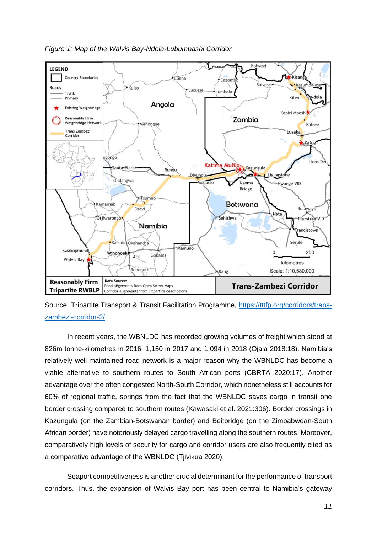*Figure 1: Map of the Walvis Bay-Ndola-Lubumbashi Corridor*



Source: Tripartite Transport & Transit Facilitation Programme, [https://tttfp.org/corridors/trans](https://tttfp.org/corridors/trans-zambezi-corridor-2/)[zambezi-corridor-2/](https://tttfp.org/corridors/trans-zambezi-corridor-2/)

In recent years, the WBNLDC has recorded growing volumes of freight which stood at 826m tonne-kilometres in 2016, 1,150 in 2017 and 1,094 in 2018 (Ojala 2018:18). Namibia's relatively well-maintained road network is a major reason why the WBNLDC has become a viable alternative to southern routes to South African ports (CBRTA 2020:17). Another advantage over the often congested North-South Corridor, which nonetheless still accounts for 60% of regional traffic, springs from the fact that the WBNLDC saves cargo in transit one border crossing compared to southern routes (Kawasaki et al. 2021:306). Border crossings in Kazungula (on the Zambian-Botswanan border) and Beitbridge (on the Zimbabwean-South African border) have notoriously delayed cargo travelling along the southern routes. Moreover, comparatively high levels of security for cargo and corridor users are also frequently cited as a comparative advantage of the WBNLDC (Tjivikua 2020).

Seaport competitiveness is another crucial determinant for the performance of transport corridors. Thus, the expansion of Walvis Bay port has been central to Namibia's gateway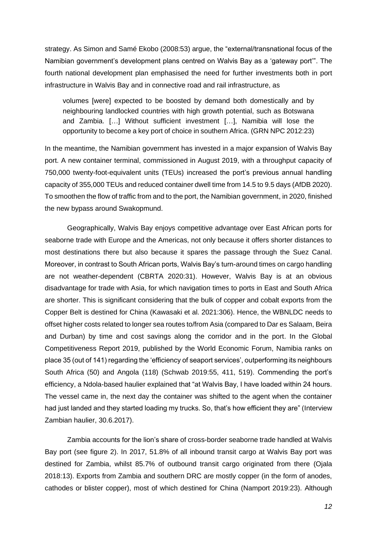strategy. As Simon and Samé Ekobo (2008:53) argue, the "external/transnational focus of the Namibian government's development plans centred on Walvis Bay as a 'gateway port'". The fourth national development plan emphasised the need for further investments both in port infrastructure in Walvis Bay and in connective road and rail infrastructure, as

volumes [were] expected to be boosted by demand both domestically and by neighbouring landlocked countries with high growth potential, such as Botswana and Zambia. […] Without sufficient investment […], Namibia will lose the opportunity to become a key port of choice in southern Africa. (GRN NPC 2012:23)

In the meantime, the Namibian government has invested in a major expansion of Walvis Bay port. A new container terminal, commissioned in August 2019, with a throughput capacity of 750,000 twenty-foot-equivalent units (TEUs) increased the port's previous annual handling capacity of 355,000 TEUs and reduced container dwell time from 14.5 to 9.5 days (AfDB 2020). To smoothen the flow of traffic from and to the port, the Namibian government, in 2020, finished the new bypass around Swakopmund.

Geographically, Walvis Bay enjoys competitive advantage over East African ports for seaborne trade with Europe and the Americas, not only because it offers shorter distances to most destinations there but also because it spares the passage through the Suez Canal. Moreover, in contrast to South African ports, Walvis Bay's turn-around times on cargo handling are not weather-dependent (CBRTA 2020:31). However, Walvis Bay is at an obvious disadvantage for trade with Asia, for which navigation times to ports in East and South Africa are shorter. This is significant considering that the bulk of copper and cobalt exports from the Copper Belt is destined for China (Kawasaki et al. 2021:306). Hence, the WBNLDC needs to offset higher costs related to longer sea routes to/from Asia (compared to Dar es Salaam, Beira and Durban) by time and cost savings along the corridor and in the port. In the Global Competitiveness Report 2019, published by the World Economic Forum, Namibia ranks on place 35 (out of 141) regarding the 'efficiency of seaport services', outperforming its neighbours South Africa (50) and Angola (118) (Schwab 2019:55, 411, 519). Commending the port's efficiency, a Ndola-based haulier explained that "at Walvis Bay, I have loaded within 24 hours. The vessel came in, the next day the container was shifted to the agent when the container had just landed and they started loading my trucks. So, that's how efficient they are" (Interview Zambian haulier, 30.6.2017).

Zambia accounts for the lion's share of cross-border seaborne trade handled at Walvis Bay port (see figure 2). In 2017, 51.8% of all inbound transit cargo at Walvis Bay port was destined for Zambia, whilst 85.7% of outbound transit cargo originated from there (Ojala 2018:13). Exports from Zambia and southern DRC are mostly copper (in the form of anodes, cathodes or blister copper), most of which destined for China (Namport 2019:23). Although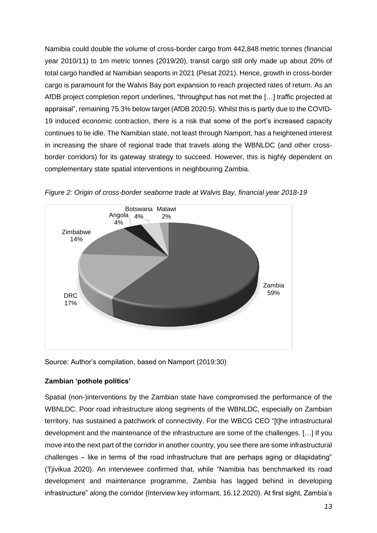Namibia could double the volume of cross-border cargo from 442,848 metric tonnes (financial year 2010/11) to 1m metric tonnes (2019/20), transit cargo still only made up about 20% of total cargo handled at Namibian seaports in 2021 (Pesat 2021). Hence, growth in cross-border cargo is paramount for the Walvis Bay port expansion to reach projected rates of return. As an AfDB project completion report underlines, "throughput has not met the […] traffic projected at appraisal", remaining 75.3% below target (AfDB 2020:5). Whilst this is partly due to the COVID-19 induced economic contraction, there is a risk that some of the port's increased capacity continues to lie idle. The Namibian state, not least through Namport, has a heightened interest in increasing the share of regional trade that travels along the WBNLDC (and other crossborder corridors) for its gateway strategy to succeed. However, this is highly dependent on complementary state spatial interventions in neighbouring Zambia.



*Figure 2: Origin of cross-border seaborne trade at Walvis Bay, financial year 2018-19*

Source: Author's compilation, based on Namport (2019:30)

#### **Zambian 'pothole politics'**

Spatial (non-)interventions by the Zambian state have compromised the performance of the WBNLDC. Poor road infrastructure along segments of the WBNLDC, especially on Zambian territory, has sustained a patchwork of connectivity. For the WBCG CEO "[t]he infrastructural development and the maintenance of the infrastructure are some of the challenges. […] If you move into the next part of the corridor in another country, you see there are some infrastructural challenges – like in terms of the road infrastructure that are perhaps aging or dilapidating" (Tjivikua 2020). An interviewee confirmed that, while "Namibia has benchmarked its road development and maintenance programme, Zambia has lagged behind in developing infrastructure" along the corridor (Interview key informant, 16.12.2020). At first sight, Zambia's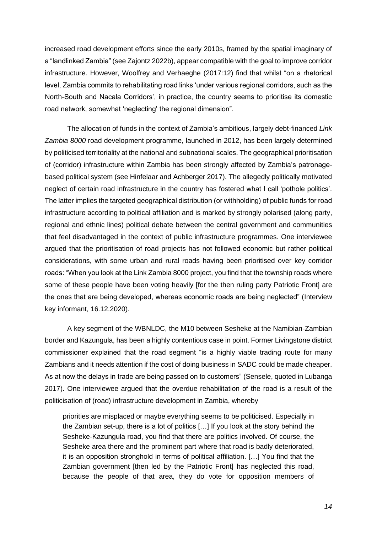increased road development efforts since the early 2010s, framed by the spatial imaginary of a "landlinked Zambia" (see Zajontz 2022b), appear compatible with the goal to improve corridor infrastructure. However, Woolfrey and Verhaeghe (2017:12) find that whilst "on a rhetorical level, Zambia commits to rehabilitating road links 'under various regional corridors, such as the North-South and Nacala Corridors', in practice, the country seems to prioritise its domestic road network, somewhat 'neglecting' the regional dimension".

The allocation of funds in the context of Zambia's ambitious, largely debt-financed *Link Zambia 8000* road development programme, launched in 2012, has been largely determined by politicised territoriality at the national and subnational scales. The geographical prioritisation of (corridor) infrastructure within Zambia has been strongly affected by Zambia's patronagebased political system (see Hinfelaar and Achberger 2017). The allegedly politically motivated neglect of certain road infrastructure in the country has fostered what I call 'pothole politics'. The latter implies the targeted geographical distribution (or withholding) of public funds for road infrastructure according to political affiliation and is marked by strongly polarised (along party, regional and ethnic lines) political debate between the central government and communities that feel disadvantaged in the context of public infrastructure programmes. One interviewee argued that the prioritisation of road projects has not followed economic but rather political considerations, with some urban and rural roads having been prioritised over key corridor roads: "When you look at the Link Zambia 8000 project, you find that the township roads where some of these people have been voting heavily [for the then ruling party Patriotic Front] are the ones that are being developed, whereas economic roads are being neglected" (Interview key informant, 16.12.2020).

A key segment of the WBNLDC, the M10 between Sesheke at the Namibian-Zambian border and Kazungula, has been a highly contentious case in point. Former Livingstone district commissioner explained that the road segment "is a highly viable trading route for many Zambians and it needs attention if the cost of doing business in SADC could be made cheaper. As at now the delays in trade are being passed on to customers" (Sensele, quoted in Lubanga 2017). One interviewee argued that the overdue rehabilitation of the road is a result of the politicisation of (road) infrastructure development in Zambia, whereby

priorities are misplaced or maybe everything seems to be politicised. Especially in the Zambian set-up, there is a lot of politics […] If you look at the story behind the Sesheke-Kazungula road, you find that there are politics involved. Of course, the Sesheke area there and the prominent part where that road is badly deteriorated, it is an opposition stronghold in terms of political affiliation. […] You find that the Zambian government [then led by the Patriotic Front] has neglected this road, because the people of that area, they do vote for opposition members of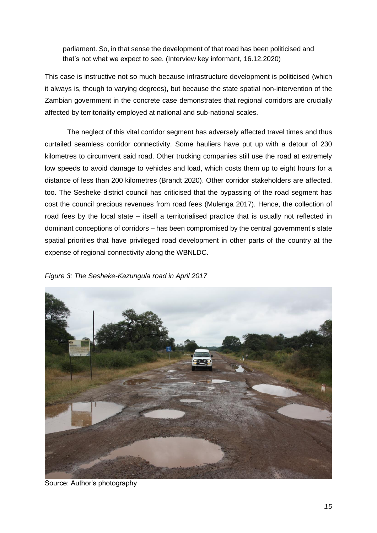parliament. So, in that sense the development of that road has been politicised and that's not what we expect to see. (Interview key informant, 16.12.2020)

This case is instructive not so much because infrastructure development is politicised (which it always is, though to varying degrees), but because the state spatial non-intervention of the Zambian government in the concrete case demonstrates that regional corridors are crucially affected by territoriality employed at national and sub-national scales.

The neglect of this vital corridor segment has adversely affected travel times and thus curtailed seamless corridor connectivity. Some hauliers have put up with a detour of 230 kilometres to circumvent said road. Other trucking companies still use the road at extremely low speeds to avoid damage to vehicles and load, which costs them up to eight hours for a distance of less than 200 kilometres (Brandt 2020). Other corridor stakeholders are affected, too. The Sesheke district council has criticised that the bypassing of the road segment has cost the council precious revenues from road fees (Mulenga 2017). Hence, the collection of road fees by the local state – itself a territorialised practice that is usually not reflected in dominant conceptions of corridors – has been compromised by the central government's state spatial priorities that have privileged road development in other parts of the country at the expense of regional connectivity along the WBNLDC.





Source: Author's photography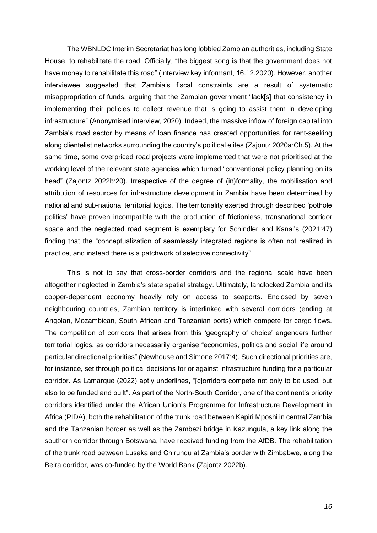The WBNLDC Interim Secretariat has long lobbied Zambian authorities, including State House, to rehabilitate the road. Officially, "the biggest song is that the government does not have money to rehabilitate this road" (Interview key informant, 16.12.2020). However, another interviewee suggested that Zambia's fiscal constraints are a result of systematic misappropriation of funds, arguing that the Zambian government "lack[s] that consistency in implementing their policies to collect revenue that is going to assist them in developing infrastructure" (Anonymised interview, 2020). Indeed, the massive inflow of foreign capital into Zambia's road sector by means of loan finance has created opportunities for rent-seeking along clientelist networks surrounding the country's political elites (Zajontz 2020a:Ch.5). At the same time, some overpriced road projects were implemented that were not prioritised at the working level of the relevant state agencies which turned "conventional policy planning on its head" (Zajontz 2022b:20). Irrespective of the degree of (in)formality, the mobilisation and attribution of resources for infrastructure development in Zambia have been determined by national and sub-national territorial logics. The territoriality exerted through described 'pothole politics' have proven incompatible with the production of frictionless, transnational corridor space and the neglected road segment is exemplary for Schindler and Kanai's (2021:47) finding that the "conceptualization of seamlessly integrated regions is often not realized in practice, and instead there is a patchwork of selective connectivity".

This is not to say that cross-border corridors and the regional scale have been altogether neglected in Zambia's state spatial strategy. Ultimately, landlocked Zambia and its copper-dependent economy heavily rely on access to seaports. Enclosed by seven neighbouring countries, Zambian territory is interlinked with several corridors (ending at Angolan, Mozambican, South African and Tanzanian ports) which compete for cargo flows. The competition of corridors that arises from this 'geography of choice' engenders further territorial logics, as corridors necessarily organise "economies, politics and social life around particular directional priorities" (Newhouse and Simone 2017:4). Such directional priorities are, for instance, set through political decisions for or against infrastructure funding for a particular corridor. As Lamarque (2022) aptly underlines, "[c]orridors compete not only to be used, but also to be funded and built". As part of the North-South Corridor, one of the continent's priority corridors identified under the African Union's Programme for Infrastructure Development in Africa (PIDA), both the rehabilitation of the trunk road between Kapiri Mposhi in central Zambia and the Tanzanian border as well as the Zambezi bridge in Kazungula, a key link along the southern corridor through Botswana, have received funding from the AfDB. The rehabilitation of the trunk road between Lusaka and Chirundu at Zambia's border with Zimbabwe, along the Beira corridor, was co-funded by the World Bank (Zajontz 2022b).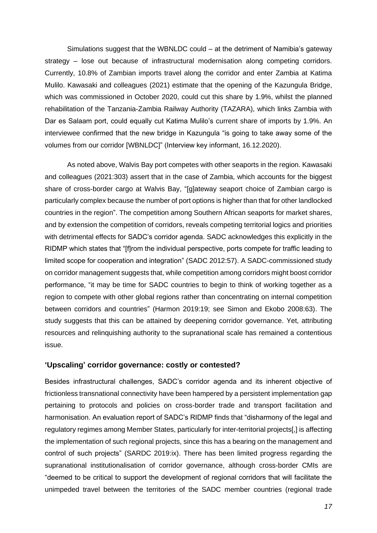Simulations suggest that the WBNLDC could – at the detriment of Namibia's gateway strategy – lose out because of infrastructural modernisation along competing corridors. Currently, 10.8% of Zambian imports travel along the corridor and enter Zambia at Katima Mulilo. Kawasaki and colleagues (2021) estimate that the opening of the Kazungula Bridge, which was commissioned in October 2020, could cut this share by 1.9%, whilst the planned rehabilitation of the Tanzania-Zambia Railway Authority (TAZARA), which links Zambia with Dar es Salaam port, could equally cut Katima Mulilo's current share of imports by 1.9%. An interviewee confirmed that the new bridge in Kazungula "is going to take away some of the volumes from our corridor [WBNLDC]" (Interview key informant, 16.12.2020).

As noted above, Walvis Bay port competes with other seaports in the region. Kawasaki and colleagues (2021:303) assert that in the case of Zambia, which accounts for the biggest share of cross-border cargo at Walvis Bay, "[g]ateway seaport choice of Zambian cargo is particularly complex because the number of port options is higher than that for other landlocked countries in the region". The competition among Southern African seaports for market shares, and by extension the competition of corridors, reveals competing territorial logics and priorities with detrimental effects for SADC's corridor agenda. SADC acknowledges this explicitly in the RIDMP which states that "[f]rom the individual perspective, ports compete for traffic leading to limited scope for cooperation and integration" (SADC 2012:57). A SADC-commissioned study on corridor management suggests that, while competition among corridors might boost corridor performance, "it may be time for SADC countries to begin to think of working together as a region to compete with other global regions rather than concentrating on internal competition between corridors and countries" (Harmon 2019:19; see Simon and Ekobo 2008:63). The study suggests that this can be attained by deepening corridor governance. Yet, attributing resources and relinquishing authority to the supranational scale has remained a contentious issue.

#### **'Upscaling' corridor governance: costly or contested?**

Besides infrastructural challenges, SADC's corridor agenda and its inherent objective of frictionless transnational connectivity have been hampered by a persistent implementation gap pertaining to protocols and policies on cross-border trade and transport facilitation and harmonisation. An evaluation report of SADC's RIDMP finds that "disharmony of the legal and regulatory regimes among Member States, particularly for inter-territorial projects[,] is affecting the implementation of such regional projects, since this has a bearing on the management and control of such projects" (SARDC 2019:ix). There has been limited progress regarding the supranational institutionalisation of corridor governance, although cross-border CMIs are "deemed to be critical to support the development of regional corridors that will facilitate the unimpeded travel between the territories of the SADC member countries (regional trade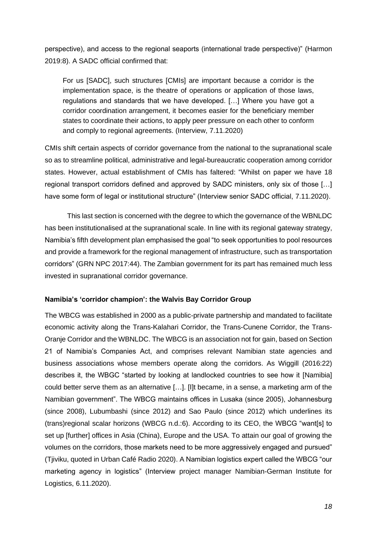perspective), and access to the regional seaports (international trade perspective)" (Harmon 2019:8). A SADC official confirmed that:

For us [SADC], such structures [CMIs] are important because a corridor is the implementation space, is the theatre of operations or application of those laws, regulations and standards that we have developed. […] Where you have got a corridor coordination arrangement, it becomes easier for the beneficiary member states to coordinate their actions, to apply peer pressure on each other to conform and comply to regional agreements. (Interview, 7.11.2020)

CMIs shift certain aspects of corridor governance from the national to the supranational scale so as to streamline political, administrative and legal-bureaucratic cooperation among corridor states. However, actual establishment of CMIs has faltered: "Whilst on paper we have 18 regional transport corridors defined and approved by SADC ministers, only six of those […] have some form of legal or institutional structure" (Interview senior SADC official, 7.11.2020).

This last section is concerned with the degree to which the governance of the WBNLDC has been institutionalised at the supranational scale. In line with its regional gateway strategy, Namibia's fifth development plan emphasised the goal "to seek opportunities to pool resources and provide a framework for the regional management of infrastructure, such as transportation corridors" (GRN NPC 2017:44). The Zambian government for its part has remained much less invested in supranational corridor governance.

## **Namibia's 'corridor champion': the Walvis Bay Corridor Group**

The WBCG was established in 2000 as a public-private partnership and mandated to facilitate economic activity along the Trans-Kalahari Corridor, the Trans-Cunene Corridor, the Trans-Oranje Corridor and the WBNLDC. The WBCG is an association not for gain, based on Section 21 of Namibia's Companies Act, and comprises relevant Namibian state agencies and business associations whose members operate along the corridors. As Wiggill (2016:22) describes it, the WBGC "started by looking at landlocked countries to see how it [Namibia] could better serve them as an alternative […]. [I]t became, in a sense, a marketing arm of the Namibian government". The WBCG maintains offices in Lusaka (since 2005), Johannesburg (since 2008), Lubumbashi (since 2012) and Sao Paulo (since 2012) which underlines its (trans)regional scalar horizons (WBCG n.d.:6). According to its CEO, the WBCG "want[s] to set up [further] offices in Asia (China), Europe and the USA. To attain our goal of growing the volumes on the corridors, those markets need to be more aggressively engaged and pursued" (Tjiviku, quoted in Urban Café Radio 2020). A Namibian logistics expert called the WBCG "our marketing agency in logistics" (Interview project manager Namibian-German Institute for Logistics, 6.11.2020).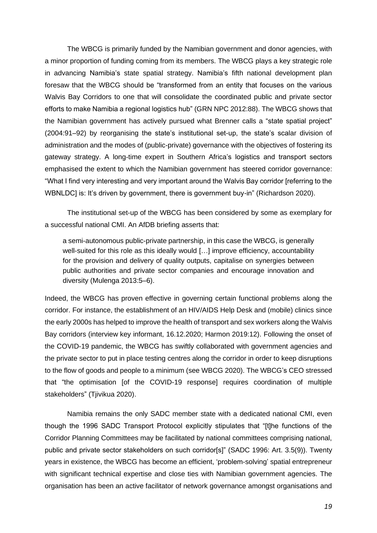The WBCG is primarily funded by the Namibian government and donor agencies, with a minor proportion of funding coming from its members. The WBCG plays a key strategic role in advancing Namibia's state spatial strategy. Namibia's fifth national development plan foresaw that the WBCG should be "transformed from an entity that focuses on the various Walvis Bay Corridors to one that will consolidate the coordinated public and private sector efforts to make Namibia a regional logistics hub" (GRN NPC 2012:88). The WBCG shows that the Namibian government has actively pursued what Brenner calls a "state spatial project" (2004:91–92) by reorganising the state's institutional set-up, the state's scalar division of administration and the modes of (public-private) governance with the objectives of fostering its gateway strategy. A long-time expert in Southern Africa's logistics and transport sectors emphasised the extent to which the Namibian government has steered corridor governance: "What I find very interesting and very important around the Walvis Bay corridor [referring to the WBNLDC] is: It's driven by government, there is government buy-in" (Richardson 2020).

The institutional set-up of the WBCG has been considered by some as exemplary for a successful national CMI. An AfDB briefing asserts that:

a semi-autonomous public-private partnership, in this case the WBCG, is generally well-suited for this role as this ideally would […] improve efficiency, accountability for the provision and delivery of quality outputs, capitalise on synergies between public authorities and private sector companies and encourage innovation and diversity (Mulenga 2013:5–6).

Indeed, the WBCG has proven effective in governing certain functional problems along the corridor. For instance, the establishment of an HIV/AIDS Help Desk and (mobile) clinics since the early 2000s has helped to improve the health of transport and sex workers along the Walvis Bay corridors (interview key informant, 16.12.2020; Harmon 2019:12). Following the onset of the COVID-19 pandemic, the WBCG has swiftly collaborated with government agencies and the private sector to put in place testing centres along the corridor in order to keep disruptions to the flow of goods and people to a minimum (see WBCG 2020). The WBCG's CEO stressed that "the optimisation [of the COVID-19 response] requires coordination of multiple stakeholders" (Tjivikua 2020).

Namibia remains the only SADC member state with a dedicated national CMI, even though the 1996 SADC Transport Protocol explicitly stipulates that "[t]he functions of the Corridor Planning Committees may be facilitated by national committees comprising national, public and private sector stakeholders on such corridor[s]" (SADC 1996: Art. 3.5(9)). Twenty years in existence, the WBCG has become an efficient, 'problem-solving' spatial entrepreneur with significant technical expertise and close ties with Namibian government agencies. The organisation has been an active facilitator of network governance amongst organisations and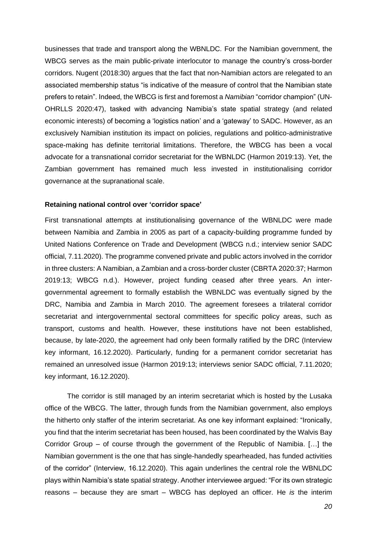businesses that trade and transport along the WBNLDC. For the Namibian government, the WBCG serves as the main public-private interlocutor to manage the country's cross-border corridors. Nugent (2018:30) argues that the fact that non-Namibian actors are relegated to an associated membership status "is indicative of the measure of control that the Namibian state prefers to retain". Indeed, the WBCG is first and foremost a *Namibian* "corridor champion" (UN-OHRLLS 2020:47), tasked with advancing Namibia's state spatial strategy (and related economic interests) of becoming a 'logistics nation' and a 'gateway' to SADC. However, as an exclusively Namibian institution its impact on policies, regulations and politico-administrative space-making has definite territorial limitations. Therefore, the WBCG has been a vocal advocate for a transnational corridor secretariat for the WBNLDC (Harmon 2019:13). Yet, the Zambian government has remained much less invested in institutionalising corridor governance at the supranational scale.

#### **Retaining national control over 'corridor space'**

First transnational attempts at institutionalising governance of the WBNLDC were made between Namibia and Zambia in 2005 as part of a capacity-building programme funded by United Nations Conference on Trade and Development (WBCG n.d.; interview senior SADC official, 7.11.2020). The programme convened private and public actors involved in the corridor in three clusters: A Namibian, a Zambian and a cross-border cluster (CBRTA 2020:37; Harmon 2019:13; WBCG n.d.). However, project funding ceased after three years. An intergovernmental agreement to formally establish the WBNLDC was eventually signed by the DRC, Namibia and Zambia in March 2010. The agreement foresees a trilateral corridor secretariat and intergovernmental sectoral committees for specific policy areas, such as transport, customs and health. However, these institutions have not been established, because, by late-2020, the agreement had only been formally ratified by the DRC (Interview key informant, 16.12.2020). Particularly, funding for a permanent corridor secretariat has remained an unresolved issue (Harmon 2019:13; interviews senior SADC official, 7.11.2020; key informant, 16.12.2020).

The corridor is still managed by an interim secretariat which is hosted by the Lusaka office of the WBCG. The latter, through funds from the Namibian government, also employs the hitherto only staffer of the interim secretariat. As one key informant explained: "Ironically, you find that the interim secretariat has been housed, has been coordinated by the Walvis Bay Corridor Group – of course through the government of the Republic of Namibia. […] the Namibian government is the one that has single-handedly spearheaded, has funded activities of the corridor" (Interview, 16.12.2020). This again underlines the central role the WBNLDC plays within Namibia's state spatial strategy. Another interviewee argued: "For its own strategic reasons – because they are smart – WBCG has deployed an officer. He *is* the interim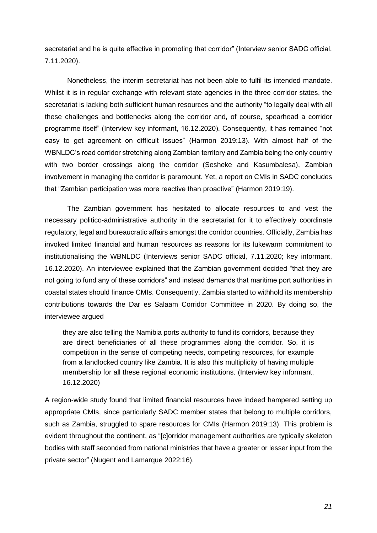secretariat and he is quite effective in promoting that corridor" (Interview senior SADC official, 7.11.2020).

Nonetheless, the interim secretariat has not been able to fulfil its intended mandate. Whilst it is in regular exchange with relevant state agencies in the three corridor states, the secretariat is lacking both sufficient human resources and the authority "to legally deal with all these challenges and bottlenecks along the corridor and, of course, spearhead a corridor programme itself" (Interview key informant, 16.12.2020). Consequently, it has remained "not easy to get agreement on difficult issues" (Harmon 2019:13). With almost half of the WBNLDC's road corridor stretching along Zambian territory and Zambia being the only country with two border crossings along the corridor (Sesheke and Kasumbalesa), Zambian involvement in managing the corridor is paramount. Yet, a report on CMIs in SADC concludes that "Zambian participation was more reactive than proactive" (Harmon 2019:19).

The Zambian government has hesitated to allocate resources to and vest the necessary politico-administrative authority in the secretariat for it to effectively coordinate regulatory, legal and bureaucratic affairs amongst the corridor countries. Officially, Zambia has invoked limited financial and human resources as reasons for its lukewarm commitment to institutionalising the WBNLDC (Interviews senior SADC official, 7.11.2020; key informant, 16.12.2020). An interviewee explained that the Zambian government decided "that they are not going to fund any of these corridors" and instead demands that maritime port authorities in coastal states should finance CMIs. Consequently, Zambia started to withhold its membership contributions towards the Dar es Salaam Corridor Committee in 2020. By doing so, the interviewee argued

they are also telling the Namibia ports authority to fund its corridors, because they are direct beneficiaries of all these programmes along the corridor. So, it is competition in the sense of competing needs, competing resources, for example from a landlocked country like Zambia. It is also this multiplicity of having multiple membership for all these regional economic institutions. (Interview key informant, 16.12.2020)

A region-wide study found that limited financial resources have indeed hampered setting up appropriate CMIs, since particularly SADC member states that belong to multiple corridors, such as Zambia, struggled to spare resources for CMIs (Harmon 2019:13). This problem is evident throughout the continent, as "[c]orridor management authorities are typically skeleton bodies with staff seconded from national ministries that have a greater or lesser input from the private sector" (Nugent and Lamarque 2022:16).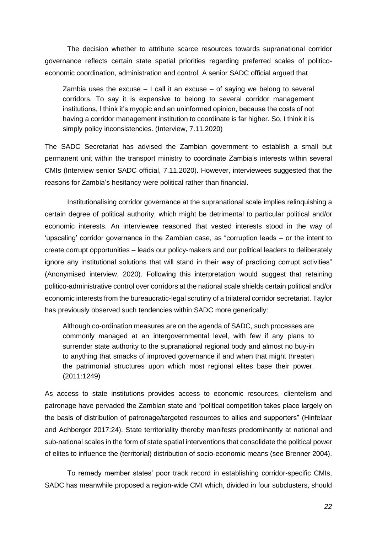The decision whether to attribute scarce resources towards supranational corridor governance reflects certain state spatial priorities regarding preferred scales of politicoeconomic coordination, administration and control. A senior SADC official argued that

Zambia uses the excuse  $-1$  call it an excuse  $-$  of saying we belong to several corridors. To say it is expensive to belong to several corridor management institutions, I think it's myopic and an uninformed opinion, because the costs of not having a corridor management institution to coordinate is far higher. So, I think it is simply policy inconsistencies. (Interview, 7.11.2020)

The SADC Secretariat has advised the Zambian government to establish a small but permanent unit within the transport ministry to coordinate Zambia's interests within several CMIs (Interview senior SADC official, 7.11.2020). However, interviewees suggested that the reasons for Zambia's hesitancy were political rather than financial.

Institutionalising corridor governance at the supranational scale implies relinquishing a certain degree of political authority, which might be detrimental to particular political and/or economic interests. An interviewee reasoned that vested interests stood in the way of 'upscaling' corridor governance in the Zambian case, as "corruption leads – or the intent to create corrupt opportunities – leads our policy-makers and our political leaders to deliberately ignore any institutional solutions that will stand in their way of practicing corrupt activities" (Anonymised interview, 2020). Following this interpretation would suggest that retaining politico-administrative control over corridors at the national scale shields certain political and/or economic interests from the bureaucratic-legal scrutiny of a trilateral corridor secretariat. Taylor has previously observed such tendencies within SADC more generically:

Although co-ordination measures are on the agenda of SADC, such processes are commonly managed at an intergovernmental level, with few if any plans to surrender state authority to the supranational regional body and almost no buy-in to anything that smacks of improved governance if and when that might threaten the patrimonial structures upon which most regional elites base their power. (2011:1249)

As access to state institutions provides access to economic resources, clientelism and patronage have pervaded the Zambian state and "political competition takes place largely on the basis of distribution of patronage/targeted resources to allies and supporters" (Hinfelaar and Achberger 2017:24). State territoriality thereby manifests predominantly at national and sub-national scales in the form of state spatial interventions that consolidate the political power of elites to influence the (territorial) distribution of socio-economic means (see Brenner 2004).

To remedy member states' poor track record in establishing corridor-specific CMIs, SADC has meanwhile proposed a region-wide CMI which, divided in four subclusters, should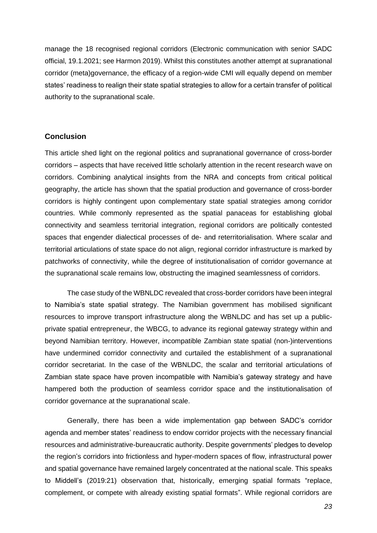manage the 18 recognised regional corridors (Electronic communication with senior SADC official, 19.1.2021; see Harmon 2019). Whilst this constitutes another attempt at supranational corridor (meta)governance, the efficacy of a region-wide CMI will equally depend on member states' readiness to realign their state spatial strategies to allow for a certain transfer of political authority to the supranational scale.

#### **Conclusion**

This article shed light on the regional politics and supranational governance of cross-border corridors – aspects that have received little scholarly attention in the recent research wave on corridors. Combining analytical insights from the NRA and concepts from critical political geography, the article has shown that the spatial production and governance of cross-border corridors is highly contingent upon complementary state spatial strategies among corridor countries. While commonly represented as the spatial panaceas for establishing global connectivity and seamless territorial integration, regional corridors are politically contested spaces that engender dialectical processes of de- and reterritorialisation. Where scalar and territorial articulations of state space do not align, regional corridor infrastructure is marked by patchworks of connectivity, while the degree of institutionalisation of corridor governance at the supranational scale remains low, obstructing the imagined seamlessness of corridors.

The case study of the WBNLDC revealed that cross-border corridors have been integral to Namibia's state spatial strategy. The Namibian government has mobilised significant resources to improve transport infrastructure along the WBNLDC and has set up a publicprivate spatial entrepreneur, the WBCG, to advance its regional gateway strategy within and beyond Namibian territory. However, incompatible Zambian state spatial (non-)interventions have undermined corridor connectivity and curtailed the establishment of a supranational corridor secretariat. In the case of the WBNLDC, the scalar and territorial articulations of Zambian state space have proven incompatible with Namibia's gateway strategy and have hampered both the production of seamless corridor space and the institutionalisation of corridor governance at the supranational scale.

Generally, there has been a wide implementation gap between SADC's corridor agenda and member states' readiness to endow corridor projects with the necessary financial resources and administrative-bureaucratic authority. Despite governments' pledges to develop the region's corridors into frictionless and hyper-modern spaces of flow, infrastructural power and spatial governance have remained largely concentrated at the national scale. This speaks to Middell's (2019:21) observation that, historically, emerging spatial formats "replace, complement, or compete with already existing spatial formats". While regional corridors are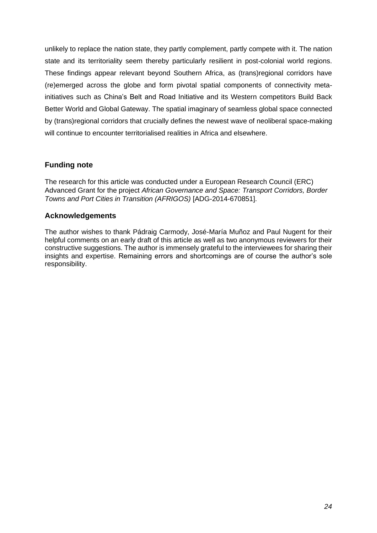unlikely to replace the nation state, they partly complement, partly compete with it. The nation state and its territoriality seem thereby particularly resilient in post-colonial world regions. These findings appear relevant beyond Southern Africa, as (trans)regional corridors have (re)emerged across the globe and form pivotal spatial components of connectivity metainitiatives such as China's Belt and Road Initiative and its Western competitors Build Back Better World and Global Gateway. The spatial imaginary of seamless global space connected by (trans)regional corridors that crucially defines the newest wave of neoliberal space-making will continue to encounter territorialised realities in Africa and elsewhere.

# **Funding note**

The research for this article was conducted under a European Research Council (ERC) Advanced Grant for the project *African Governance and Space: Transport Corridors, Border Towns and Port Cities in Transition (AFRIGOS)* [ADG-2014-670851].

# **Acknowledgements**

The author wishes to thank Pádraig Carmody, José-María Muñoz and Paul Nugent for their helpful comments on an early draft of this article as well as two anonymous reviewers for their constructive suggestions. The author is immensely grateful to the interviewees for sharing their insights and expertise. Remaining errors and shortcomings are of course the author's sole responsibility.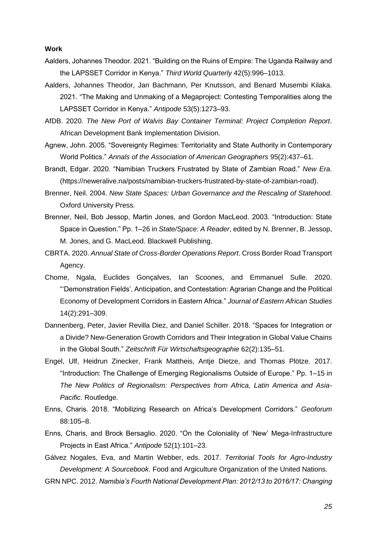#### **Work**

- Aalders, Johannes Theodor. 2021. "Building on the Ruins of Empire: The Uganda Railway and the LAPSSET Corridor in Kenya." *Third World Quarterly* 42(5):996–1013.
- Aalders, Johannes Theodor, Jan Bachmann, Per Knutsson, and Benard Musembi Kilaka. 2021. "The Making and Unmaking of a Megaproject: Contesting Temporalities along the LAPSSET Corridor in Kenya." *Antipode* 53(5):1273–93.
- AfDB. 2020. *The New Port of Walvis Bay Container Terminal: Project Completion Report*. African Development Bank Implementation Division.
- Agnew, John. 2005. "Sovereignty Regimes: Territoriality and State Authority in Contemporary World Politics." *Annals of the Association of American Geographers* 95(2):437–61.
- Brandt, Edgar. 2020. "Namibian Truckers Frustrated by State of Zambian Road." *New Era*. (https://neweralive.na/posts/namibian-truckers-frustrated-by-state-of-zambian-road).
- Brenner, Neil. 2004. *New State Spaces: Urban Governance and the Rescaling of Statehood*. Oxford University Press.
- Brenner, Neil, Bob Jessop, Martin Jones, and Gordon MacLeod. 2003. "Introduction: State Space in Question." Pp. 1–26 in *State/Space: A Reader*, edited by N. Brenner, B. Jessop, M. Jones, and G. MacLeod. Blackwell Publishing.
- CBRTA. 2020. *Annual State of Cross-Border Operations Report*. Cross Border Road Transport Agency.
- Chome, Ngala, Euclides Gonçalves, Ian Scoones, and Emmanuel Sulle. 2020. "'Demonstration Fields', Anticipation, and Contestation: Agrarian Change and the Political Economy of Development Corridors in Eastern Africa." *Journal of Eastern African Studies* 14(2):291–309.
- Dannenberg, Peter, Javier Revilla Diez, and Daniel Schiller. 2018. "Spaces for Integration or a Divide? New-Generation Growth Corridors and Their Integration in Global Value Chains in the Global South." *Zeitschrift Für Wirtschaftsgeographie* 62(2):135–51.
- Engel, Ulf, Heidrun Zinecker, Frank Mattheis, Antje Dietze, and Thomas Plötze. 2017. "Introduction: The Challenge of Emerging Regionalisms Outside of Europe." Pp. 1–15 in *The New Politics of Regionalism: Perspectives from Africa, Latin America and Asia-Pacific*. Routledge.
- Enns, Charis. 2018. "Mobilizing Research on Africa's Development Corridors." *Geoforum* 88:105–8.
- Enns, Charis, and Brock Bersaglio. 2020. "On the Coloniality of 'New' Mega-Infrastructure Projects in East Africa." *Antipode* 52(1):101–23.
- Gálvez Nogales, Eva, and Martin Webber, eds. 2017. *Territorial Tools for Agro-Industry Development: A Sourcebook*. Food and Argiculture Organization of the United Nations.
- GRN NPC. 2012. *Namibia's Fourth National Development Plan: 2012/13 to 2016/17: Changing*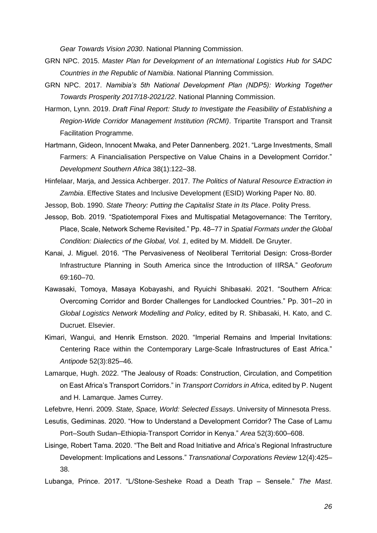*Gear Towards Vision 2030*. National Planning Commission.

- GRN NPC. 2015. *Master Plan for Development of an International Logistics Hub for SADC Countries in the Republic of Namibia*. National Planning Commission.
- GRN NPC. 2017. *Namibia's 5th National Development Plan (NDP5): Working Together Towards Prosperity 2017/18-2021/22*. National Planning Commission.
- Harmon, Lynn. 2019. *Draft Final Report: Study to Investigate the Feasibility of Establishing a Region-Wide Corridor Management Institution (RCMI)*. Tripartite Transport and Transit Facilitation Programme.
- Hartmann, Gideon, Innocent Mwaka, and Peter Dannenberg. 2021. "Large Investments, Small Farmers: A Financialisation Perspective on Value Chains in a Development Corridor." *Development Southern Africa* 38(1):122–38.
- Hinfelaar, Marja, and Jessica Achberger. 2017. *The Politics of Natural Resource Extraction in Zambia*. Effective States and Inclusive Development (ESID) Working Paper No. 80.

Jessop, Bob. 1990. *State Theory: Putting the Capitalist State in Its Place*. Polity Press.

- Jessop, Bob. 2019. "Spatiotemporal Fixes and Multispatial Metagovernance: The Territory, Place, Scale, Network Scheme Revisited." Pp. 48–77 in *Spatial Formats under the Global Condition: Dialectics of the Global, Vol. 1*, edited by M. Middell. De Gruyter.
- Kanai, J. Miguel. 2016. "The Pervasiveness of Neoliberal Territorial Design: Cross-Border Infrastructure Planning in South America since the Introduction of IIRSA." *Geoforum* 69:160–70.
- Kawasaki, Tomoya, Masaya Kobayashi, and Ryuichi Shibasaki. 2021. "Southern Africa: Overcoming Corridor and Border Challenges for Landlocked Countries." Pp. 301–20 in *Global Logistics Network Modelling and Policy*, edited by R. Shibasaki, H. Kato, and C. Ducruet. Elsevier.
- Kimari, Wangui, and Henrik Ernstson. 2020. "Imperial Remains and Imperial Invitations: Centering Race within the Contemporary Large-Scale Infrastructures of East Africa." *Antipode* 52(3):825–46.
- Lamarque, Hugh. 2022. "The Jealousy of Roads: Construction, Circulation, and Competition on East Africa's Transport Corridors." in *Transport Corridors in Africa*, edited by P. Nugent and H. Lamarque. James Currey.

Lefebvre, Henri. 2009. *State, Space, World: Selected Essays*. University of Minnesota Press.

- Lesutis, Gediminas. 2020. "How to Understand a Development Corridor? The Case of Lamu Port–South Sudan–Ethiopia-Transport Corridor in Kenya." *Area* 52(3):600–608.
- Lisinge, Robert Tama. 2020. "The Belt and Road Initiative and Africa's Regional Infrastructure Development: Implications and Lessons." *Transnational Corporations Review* 12(4):425– 38.
- Lubanga, Prince. 2017. "L/Stone-Sesheke Road a Death Trap Sensele." *The Mast*.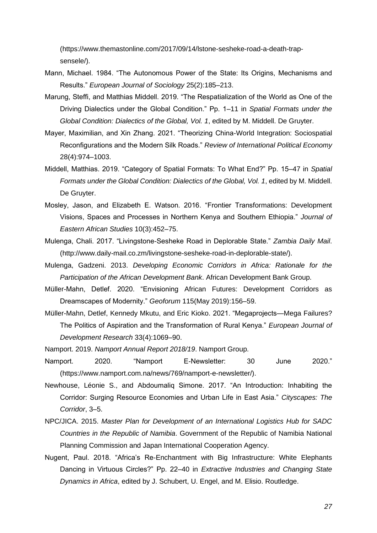(https://www.themastonline.com/2017/09/14/lstone-sesheke-road-a-death-trapsensele/).

- Mann, Michael. 1984. "The Autonomous Power of the State: Its Origins, Mechanisms and Results." *European Journal of Sociology* 25(2):185–213.
- Marung, Steffi, and Matthias Middell. 2019. "The Respatialization of the World as One of the Driving Dialectics under the Global Condition." Pp. 1–11 in *Spatial Formats under the Global Condition: Dialectics of the Global, Vol. 1*, edited by M. Middell. De Gruyter.
- Mayer, Maximilian, and Xin Zhang. 2021. "Theorizing China-World Integration: Sociospatial Reconfigurations and the Modern Silk Roads." *Review of International Political Economy* 28(4):974–1003.
- Middell, Matthias. 2019. "Category of Spatial Formats: To What End?" Pp. 15–47 in *Spatial Formats under the Global Condition: Dialectics of the Global, Vol. 1*, edited by M. Middell. De Gruyter.
- Mosley, Jason, and Elizabeth E. Watson. 2016. "Frontier Transformations: Development Visions, Spaces and Processes in Northern Kenya and Southern Ethiopia." *Journal of Eastern African Studies* 10(3):452–75.
- Mulenga, Chali. 2017. "Livingstone-Sesheke Road in Deplorable State." *Zambia Daily Mail*. (http://www.daily-mail.co.zm/livingstone-sesheke-road-in-deplorable-state/).
- Mulenga, Gadzeni. 2013. *Developing Economic Corridors in Africa: Rationale for the Participation of the African Development Bank*. African Development Bank Group.
- Müller-Mahn, Detlef. 2020. "Envisioning African Futures: Development Corridors as Dreamscapes of Modernity." *Geoforum* 115(May 2019):156–59.
- Müller-Mahn, Detlef, Kennedy Mkutu, and Eric Kioko. 2021. "Megaprojects—Mega Failures? The Politics of Aspiration and the Transformation of Rural Kenya." *European Journal of Development Research* 33(4):1069–90.
- Namport. 2019. *Namport Annual Report 2018/19*. Namport Group.
- Namport. 2020. "Namport E-Newsletter: 30 June 2020." (https://www.namport.com.na/news/769/namport-e-newsletter/).
- Newhouse, Léonie S., and Abdoumaliq Simone. 2017. "An Introduction: Inhabiting the Corridor: Surging Resource Economies and Urban Life in East Asia." *Cityscapes: The Corridor*, 3–5.
- NPC/JICA. 2015. *Master Plan for Development of an International Logistics Hub for SADC Countries in the Republic of Namibia*. Government of the Republic of Namibia National Planning Commission and Japan International Cooperation Agency.
- Nugent, Paul. 2018. "Africa's Re-Enchantment with Big Infrastructure: White Elephants Dancing in Virtuous Circles?" Pp. 22–40 in *Extractive Industries and Changing State Dynamics in Africa*, edited by J. Schubert, U. Engel, and M. Elisio. Routledge.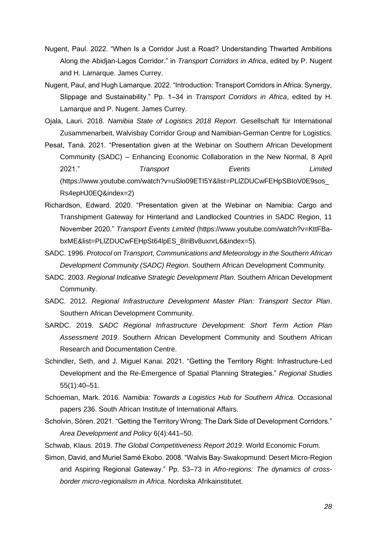- Nugent, Paul. 2022. "When Is a Corridor Just a Road? Understanding Thwarted Ambitions Along the Abidjan-Lagos Corridor." in *Transport Corridors in Africa*, edited by P. Nugent and H. Lamarque. James Currey.
- Nugent, Paul, and Hugh Lamarque. 2022. "Introduction: Transport Corridors in Africa: Synergy, Slippage and Sustainability." Pp. 1–34 in *Transport Corridors in Africa*, edited by H. Lamarque and P. Nugent. James Currey.
- Ojala, Lauri. 2018. *Namibia State of Logistics 2018 Report*. Gesellschaft für International Zusammenarbeit, Walvisbay Corridor Group and Namibian-German Centre for Logistics.
- Pesat, Taná. 2021. "Presentation given at the Webinar on Southern African Development Community (SADC) – Enhancing Economic Collaboration in the New Normal, 8 April 2021." *Transport Events Limited* (https://www.youtube.com/watch?v=uSlo09ETI5Y&list=PLlZDUCwFEHpSBIoV0E9sos\_ Rs4epHJ0EQ&index=2)
- Richardson, Edward. 2020. "Presentation given at the Webinar on Namibia: Cargo and Transhipment Gateway for Hinterland and Landlocked Countries in SADC Region, 11 November 2020." *Transport Events Limited* (https://www.youtube.com/watch?v=KttFBabxME&list=PLlZDUCwFEHpSt64lpES\_8IriBv8uxnrL6&index=5).
- SADC. 1996. *Protocol on Transport, Communications and Meteorology in the Southern African Development Community (SADC) Region*. Southern African Development Community.
- SADC. 2003. *Regional Indicative Strategic Development Plan*. Southern African Development Community.
- SADC. 2012. *Regional Infrastructure Development Master Plan: Transport Sector Plan*. Southern African Development Community.
- SARDC. 2019. *SADC Regional Infrastructure Development: Short Term Action Plan Assessment 2019*. Southern African Development Community and Southern African Research and Documentation Centre.
- Schindler, Seth, and J. Miguel Kanai. 2021. "Getting the Territory Right: Infrastructure-Led Development and the Re-Emergence of Spatial Planning Strategies." *Regional Studies* 55(1):40–51.
- Schoeman, Mark. 2016. *Namibia: Towards a Logistics Hub for Southern Africa*. Occasional papers 236. South African Institute of International Affairs.
- Scholvin, Sören. 2021. "Getting the Territory Wrong: The Dark Side of Development Corridors." *Area Development and Policy* 6(4):441–50.

Schwab, Klaus. 2019. *The Global Competitiveness Report 2019*. World Economic Forum.

Simon, David, and Muriel Samé Ekobo. 2008. "Walvis Bay-Swakopmund: Desert Micro-Region and Aspiring Regional Gateway." Pp. 53–73 in *Afro-regions: The dynamics of crossborder micro-regionalism in Africa*. Nordiska Afrikainstitutet.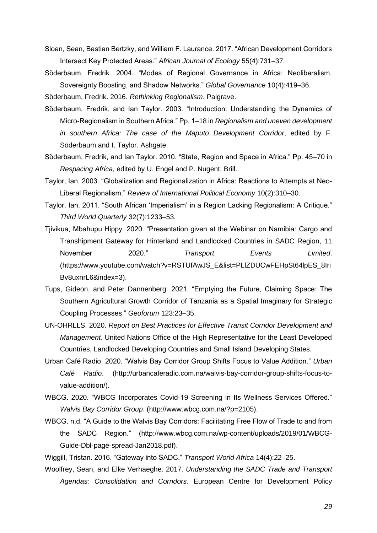- Sloan, Sean, Bastian Bertzky, and William F. Laurance. 2017. "African Development Corridors Intersect Key Protected Areas." *African Journal of Ecology* 55(4):731–37.
- Söderbaum, Fredrik. 2004. "Modes of Regional Governance in Africa: Neoliberalism, Sovereignty Boosting, and Shadow Networks." *Global Governance* 10(4):419–36.

Söderbaum, Fredrik. 2016. *Rethinking Regionalism*. Palgrave.

- Söderbaum, Fredrik, and Ian Taylor. 2003. "Introduction: Understanding the Dynamics of Micro-Regionalism in Southern Africa." Pp. 1–18 in *Regionalism and uneven development in southern Africa: The case of the Maputo Development Corridor*, edited by F. Söderbaum and I. Taylor. Ashgate.
- Söderbaum, Fredrik, and Ian Taylor. 2010. "State, Region and Space in Africa." Pp. 45–70 in *Respacing Africa*, edited by U. Engel and P. Nugent. Brill.
- Taylor, Ian. 2003. "Globalization and Regionalization in Africa: Reactions to Attempts at Neo-Liberal Regionalism." *Review of International Political Economy* 10(2):310–30.
- Taylor, Ian. 2011. "South African 'Imperialism' in a Region Lacking Regionalism: A Critique." *Third World Quarterly* 32(7):1233–53.
- Tjivikua, Mbahupu Hippy. 2020. "Presentation given at the Webinar on Namibia: Cargo and Transhipment Gateway for Hinterland and Landlocked Countries in SADC Region, 11 November 2020." *Transport Events Limited*. (https://www.youtube.com/watch?v=RSTUfAwJS\_E&list=PLlZDUCwFEHpSt64lpES\_8Iri Bv8uxnrL6&index=3).
- Tups, Gideon, and Peter Dannenberg. 2021. "Emptying the Future, Claiming Space: The Southern Agricultural Growth Corridor of Tanzania as a Spatial Imaginary for Strategic Coupling Processes." *Geoforum* 123:23–35.
- UN-OHRLLS. 2020. *Report on Best Practices for Effective Transit Corridor Development and Management*. United Nations Office of the High Representative for the Least Developed Countries, Landlocked Developing Countries and Small Island Developing States.
- Urban Café Radio. 2020. "Walvis Bay Corridor Group Shifts Focus to Value Addition." *Urban Café Radio*. (http://urbancaferadio.com.na/walvis-bay-corridor-group-shifts-focus-tovalue-addition/).
- WBCG. 2020. "WBCG Incorporates Covid-19 Screening in Its Wellness Services Offered." *Walvis Bay Corridor Group*. (http://www.wbcg.com.na/?p=2105).
- WBCG. n.d. "A Guide to the Walvis Bay Corridors: Facilitating Free Flow of Trade to and from the SADC Region." (http://www.wbcg.com.na/wp-content/uploads/2019/01/WBCG-Guide-Dbl-page-spread-Jan2018.pdf).

Wiggill, Tristan. 2016. "Gateway into SADC." *Transport World Africa* 14(4):22–25.

Woolfrey, Sean, and Elke Verhaeghe. 2017. *Understanding the SADC Trade and Transport Agendas: Consolidation and Corridors*. European Centre for Development Policy